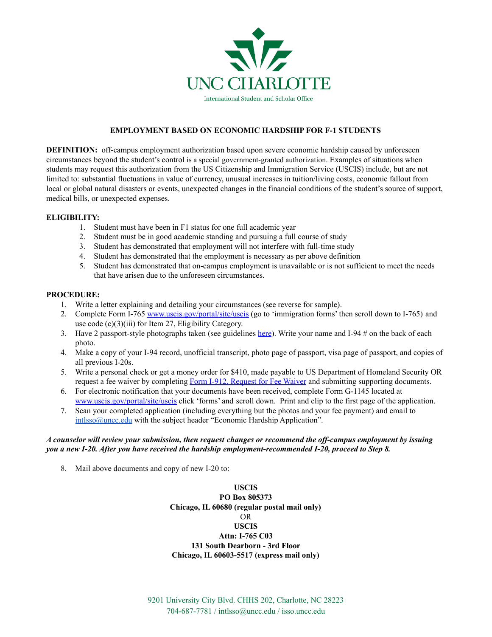

### **EMPLOYMENT BASED ON ECONOMIC HARDSHIP FOR F-1 STUDENTS**

**DEFINITION:** off-campus employment authorization based upon severe economic hardship caused by unforeseen circumstances beyond the student's control is a special government-granted authorization. Examples of situations when students may request this authorization from the US Citizenship and Immigration Service (USCIS) include, but are not limited to: substantial fluctuations in value of currency, unusual increases in tuition/living costs, economic fallout from local or global natural disasters or events, unexpected changes in the financial conditions of the student's source of support, medical bills, or unexpected expenses.

## **ELIGIBILITY:**

- 1. Student must have been in F1 status for one full academic year
- 2. Student must be in good academic standing and pursuing a full course of study
- 3. Student has demonstrated that employment will not interfere with full-time study
- 4. Student has demonstrated that the employment is necessary as per above definition
- 5. Student has demonstrated that on-campus employment is unavailable or is not sufficient to meet the needs that have arisen due to the unforeseen circumstances.

### **PROCEDURE:**

- 1. Write a letter explaining and detailing your circumstances (see reverse for sample).
- 2. Complete Form I-765 [www.uscis.gov/portal/site/uscis](http://www.uscis.gov/portal/site/uscis) (go to 'immigration forms' then scroll down to I-765) and use code (c)(3)(iii) for Item 27, Eligibility Category.
- 3. Have 2 passport-style photographs taken (see guidelines [here](https://travel.state.gov/content/travel/en/passports/how-apply/photos.html)). Write your name and I-94 # on the back of each photo.
- 4. Make a copy of your I-94 record, unofficial transcript, photo page of passport, visa page of passport, and copies of all previous I-20s.
- 5. Write a personal check or get a money order for \$410, made payable to US Department of Homeland Security OR request a fee waiver by completing Form I-912, [Request](https://www.uscis.gov/i-912) for Fee Waiver and submitting supporting documents.
- 6. For electronic notification that your documents have been received, complete Form G-1145 located at [www.uscis.gov/portal/site/uscis](http://www.uscis.gov/portal/site/uscis) click 'forms' and scroll down. Print and clip to the first page of the application.
- 7. Scan your completed application (including everything but the photos and your fee payment) and email to [intlsso@uncc.edu](mailto:intlsso@uncc.edu) with the subject header "Economic Hardship Application".

## A counselor will review your submission, then request changes or recommend the off-campus employment by issuing *you a new I-20. After you have received the hardship employment-recommended I-20, proceed to Step 8.*

8. Mail above documents and copy of new I-20 to:

**USCIS PO Box 805373 Chicago, IL 60680 (regular postal mail only)** OR **USCIS Attn: I-765 C03 131 South Dearborn - 3rd Floor Chicago, IL 60603-5517 (express mail only)**